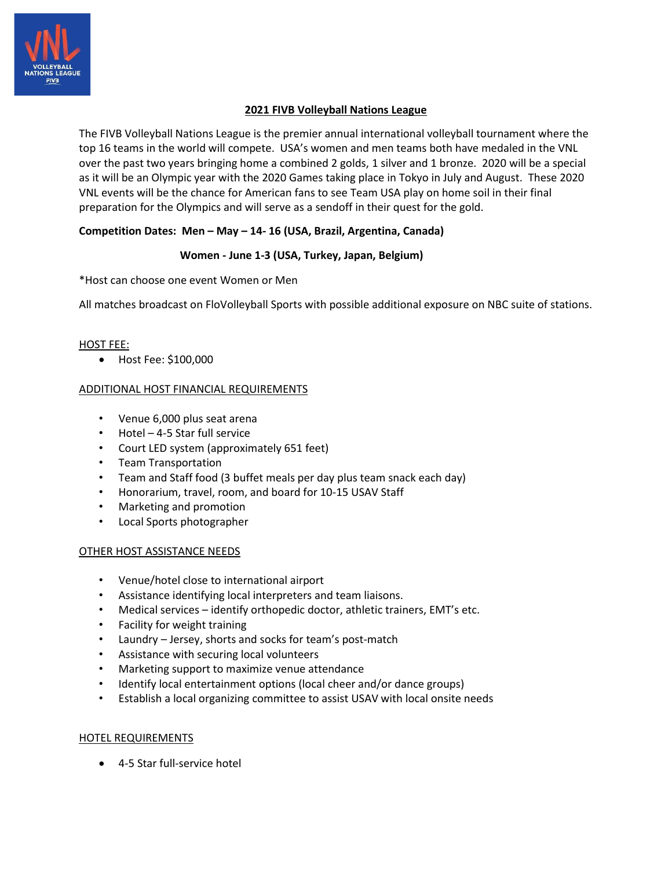

## **2021 FIVB Volleyball Nations League**

The FIVB Volleyball Nations League is the premier annual international volleyball tournament where the top 16 teams in the world will compete. USA's women and men teams both have medaled in the VNL over the past two years bringing home a combined 2 golds, 1 silver and 1 bronze. 2020 will be a special as it will be an Olympic year with the 2020 Games taking place in Tokyo in July and August. These 2020 VNL events will be the chance for American fans to see Team USA play on home soil in their final preparation for the Olympics and will serve as a sendoff in their quest for the gold.

# **Competition Dates: Men – May – 14- 16 (USA, Brazil, Argentina, Canada)**

#### **Women - June 1-3 (USA, Turkey, Japan, Belgium)**

\*Host can choose one event Women or Men

All matches broadcast on FloVolleyball Sports with possible additional exposure on NBC suite of stations.

#### HOST FEE:

• Host Fee: \$100,000

#### ADDITIONAL HOST FINANCIAL REQUIREMENTS

- Venue 6,000 plus seat arena
- Hotel 4-5 Star full service
- Court LED system (approximately 651 feet)
- Team Transportation
- Team and Staff food (3 buffet meals per day plus team snack each day)
- Honorarium, travel, room, and board for 10-15 USAV Staff
- Marketing and promotion
- Local Sports photographer

#### OTHER HOST ASSISTANCE NEEDS

- Venue/hotel close to international airport
- Assistance identifying local interpreters and team liaisons.
- Medical services identify orthopedic doctor, athletic trainers, EMT's etc.
- Facility for weight training
- Laundry Jersey, shorts and socks for team's post-match
- Assistance with securing local volunteers
- Marketing support to maximize venue attendance
- Identify local entertainment options (local cheer and/or dance groups)
- Establish a local organizing committee to assist USAV with local onsite needs

#### HOTEL REQUIREMENTS

• 4-5 Star full-service hotel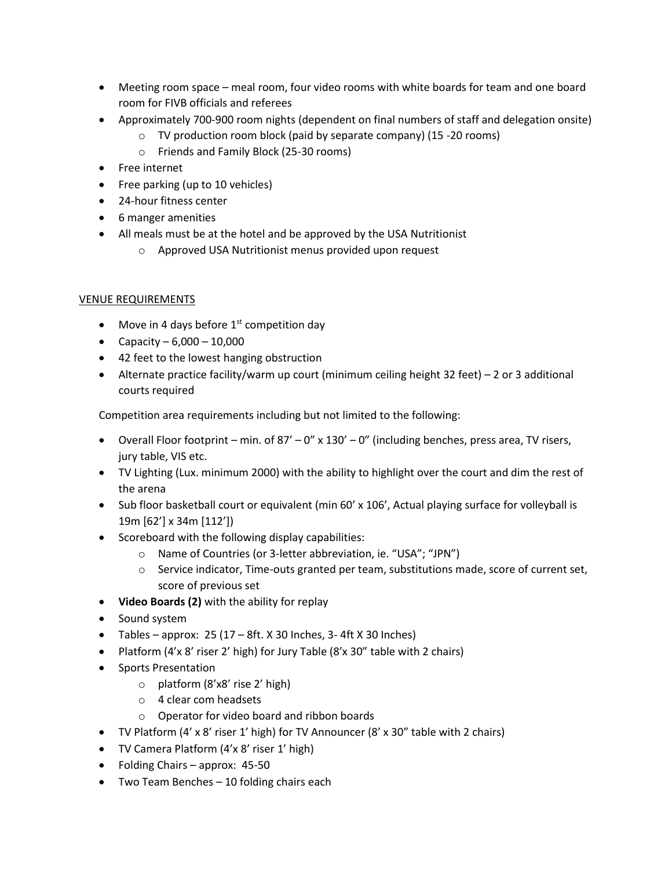- Meeting room space meal room, four video rooms with white boards for team and one board room for FIVB officials and referees
- Approximately 700-900 room nights (dependent on final numbers of staff and delegation onsite)
	- o TV production room block (paid by separate company) (15 -20 rooms)
	- o Friends and Family Block (25-30 rooms)
- Free internet
- Free parking (up to 10 vehicles)
- 24-hour fitness center
- 6 manger amenities
- All meals must be at the hotel and be approved by the USA Nutritionist
	- o Approved USA Nutritionist menus provided upon request

### VENUE REQUIREMENTS

- Move in 4 days before  $1<sup>st</sup>$  competition day
- Capacity  $6,000 10,000$
- 42 feet to the lowest hanging obstruction
- Alternate practice facility/warm up court (minimum ceiling height 32 feet) 2 or 3 additional courts required

Competition area requirements including but not limited to the following:

- Overall Floor footprint min. of  $87' 0''$  x  $130' 0''$  (including benches, press area, TV risers, jury table, VIS etc.
- TV Lighting (Lux. minimum 2000) with the ability to highlight over the court and dim the rest of the arena
- Sub floor basketball court or equivalent (min 60' x 106', Actual playing surface for volleyball is 19m [62'] x 34m [112'])
- Scoreboard with the following display capabilities:
	- o Name of Countries (or 3-letter abbreviation, ie. "USA"; "JPN")
	- $\circ$  Service indicator, Time-outs granted per team, substitutions made, score of current set, score of previous set
- **Video Boards (2)** with the ability for replay
- Sound system
- Tables approx:  $25(17 8ft. X 30$  Inches, 3-4ft X 30 Inches)
- Platform (4'x 8' riser 2' high) for Jury Table (8'x 30" table with 2 chairs)
- Sports Presentation
	- o platform (8'x8' rise 2' high)
	- o 4 clear com headsets
	- o Operator for video board and ribbon boards
- TV Platform (4' x 8' riser 1' high) for TV Announcer (8' x 30" table with 2 chairs)
- TV Camera Platform (4'x 8' riser 1' high)
- Folding Chairs approx: 45-50
- Two Team Benches 10 folding chairs each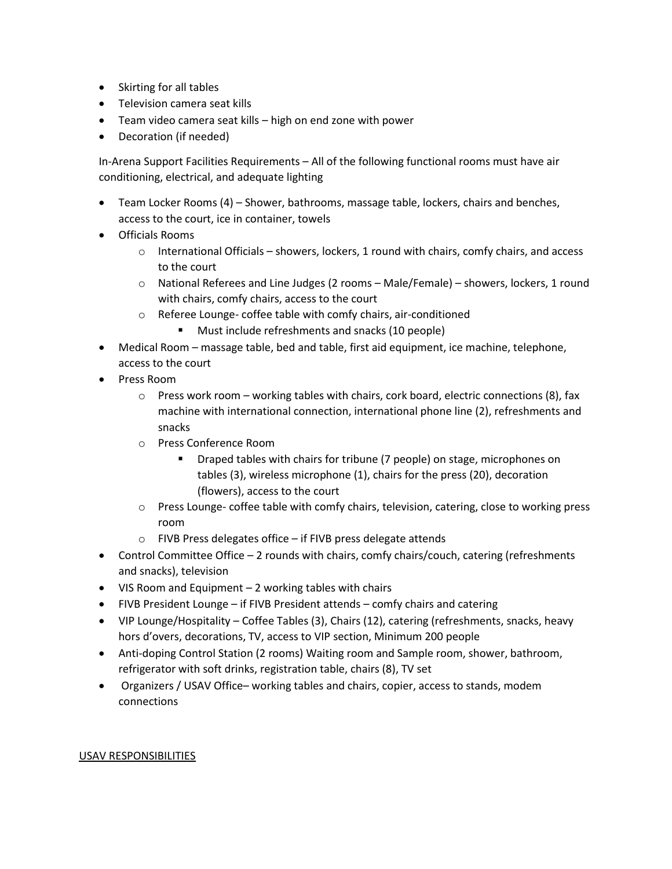- Skirting for all tables
- Television camera seat kills
- Team video camera seat kills high on end zone with power
- Decoration (if needed)

In-Arena Support Facilities Requirements – All of the following functional rooms must have air conditioning, electrical, and adequate lighting

- Team Locker Rooms (4) Shower, bathrooms, massage table, lockers, chairs and benches, access to the court, ice in container, towels
- Officials Rooms
	- $\circ$  International Officials showers, lockers, 1 round with chairs, comfy chairs, and access to the court
	- o National Referees and Line Judges (2 rooms Male/Female) showers, lockers, 1 round with chairs, comfy chairs, access to the court
	- o Referee Lounge- coffee table with comfy chairs, air-conditioned
		- Must include refreshments and snacks (10 people)
- Medical Room massage table, bed and table, first aid equipment, ice machine, telephone, access to the court
- Press Room
	- $\circ$  Press work room working tables with chairs, cork board, electric connections (8), fax machine with international connection, international phone line (2), refreshments and snacks
	- o Press Conference Room
		- Draped tables with chairs for tribune (7 people) on stage, microphones on tables (3), wireless microphone (1), chairs for the press (20), decoration (flowers), access to the court
	- o Press Lounge- coffee table with comfy chairs, television, catering, close to working press room
	- $\circ$  FIVB Press delegates office if FIVB press delegate attends
- Control Committee Office 2 rounds with chairs, comfy chairs/couch, catering (refreshments and snacks), television
- VIS Room and Equipment 2 working tables with chairs
- FIVB President Lounge if FIVB President attends comfy chairs and catering
- VIP Lounge/Hospitality Coffee Tables (3), Chairs (12), catering (refreshments, snacks, heavy hors d'overs, decorations, TV, access to VIP section, Minimum 200 people
- Anti-doping Control Station (2 rooms) Waiting room and Sample room, shower, bathroom, refrigerator with soft drinks, registration table, chairs (8), TV set
- Organizers / USAV Office– working tables and chairs, copier, access to stands, modem connections

#### USAV RESPONSIBILITIES